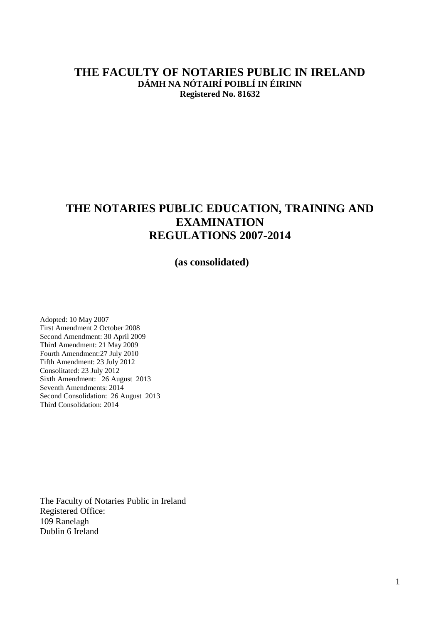## **THE FACULTY OF NOTARIES PUBLIC IN IRELAND DÁMH NA NÓTAIRÍ POIBLÍ IN ÉIRINN Registered No. 81632**

# **THE NOTARIES PUBLIC EDUCATION, TRAINING AND EXAMINATION REGULATIONS 2007-2014**

#### **(as consolidated)**

Adopted: 10 May 2007 First Amendment 2 October 2008 Second Amendment: 30 April 2009 Third Amendment: 21 May 2009 Fourth Amendment:27 July 2010 Fifth Amendment: 23 July 2012 Consolitated: 23 July 2012 Sixth Amendment: 26 August 2013 Seventh Amendments: 2014 Second Consolidation: 26 August 2013 Third Consolidation: 2014

The Faculty of Notaries Public in Ireland Registered Office: 109 Ranelagh Dublin 6 Ireland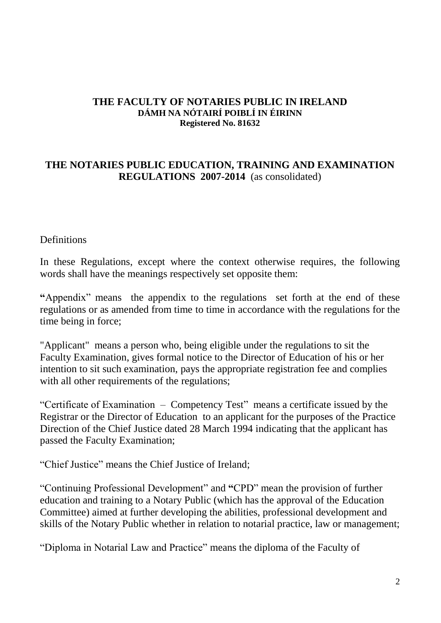#### **THE FACULTY OF NOTARIES PUBLIC IN IRELAND DÁMH NA NÓTAIRÍ POIBLÍ IN ÉIRINN Registered No. 81632**

# **THE NOTARIES PUBLIC EDUCATION, TRAINING AND EXAMINATION REGULATIONS 2007-2014** (as consolidated)

### **Definitions**

In these Regulations, except where the context otherwise requires, the following words shall have the meanings respectively set opposite them:

**"**Appendix" means the appendix to the regulations set forth at the end of these regulations or as amended from time to time in accordance with the regulations for the time being in force;

"Applicant" means a person who, being eligible under the regulations to sit the Faculty Examination, gives formal notice to the Director of Education of his or her intention to sit such examination, pays the appropriate registration fee and complies with all other requirements of the regulations;

"Certificate of Examination – Competency Test" means a certificate issued by the Registrar or the Director of Education to an applicant for the purposes of the Practice Direction of the Chief Justice dated 28 March 1994 indicating that the applicant has passed the Faculty Examination;

"Chief Justice" means the Chief Justice of Ireland;

"Continuing Professional Development" and **"**CPD" mean the provision of further education and training to a Notary Public (which has the approval of the Education Committee) aimed at further developing the abilities, professional development and skills of the Notary Public whether in relation to notarial practice, law or management;

"Diploma in Notarial Law and Practice" means the diploma of the Faculty of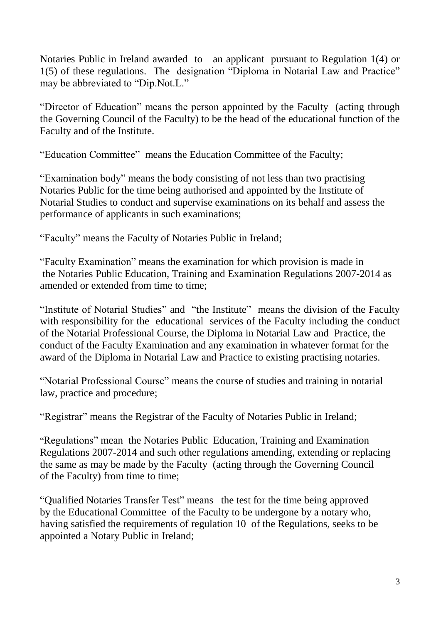Notaries Public in Ireland awarded to an applicant pursuant to Regulation 1(4) or 1(5) of these regulations. The designation "Diploma in Notarial Law and Practice" may be abbreviated to "Dip.Not.L."

"Director of Education" means the person appointed by the Faculty (acting through the Governing Council of the Faculty) to be the head of the educational function of the Faculty and of the Institute.

"Education Committee" means the Education Committee of the Faculty;

"Examination body" means the body consisting of not less than two practising Notaries Public for the time being authorised and appointed by the Institute of Notarial Studies to conduct and supervise examinations on its behalf and assess the performance of applicants in such examinations;

"Faculty" means the Faculty of Notaries Public in Ireland;

"Faculty Examination" means the examination for which provision is made in the Notaries Public Education, Training and Examination Regulations 2007-2014 as amended or extended from time to time;

"Institute of Notarial Studies" and "the Institute" means the division of the Faculty with responsibility for the educational services of the Faculty including the conduct of the Notarial Professional Course, the Diploma in Notarial Law and Practice, the conduct of the Faculty Examination and any examination in whatever format for the award of the Diploma in Notarial Law and Practice to existing practising notaries.

"Notarial Professional Course" means the course of studies and training in notarial law, practice and procedure;

"Registrar" means the Registrar of the Faculty of Notaries Public in Ireland;

"Regulations" mean the Notaries Public Education, Training and Examination Regulations 2007-2014 and such other regulations amending, extending or replacing the same as may be made by the Faculty (acting through the Governing Council of the Faculty) from time to time;

"Qualified Notaries Transfer Test" means the test for the time being approved by the Educational Committee of the Faculty to be undergone by a notary who, having satisfied the requirements of regulation 10 of the Regulations, seeks to be appointed a Notary Public in Ireland;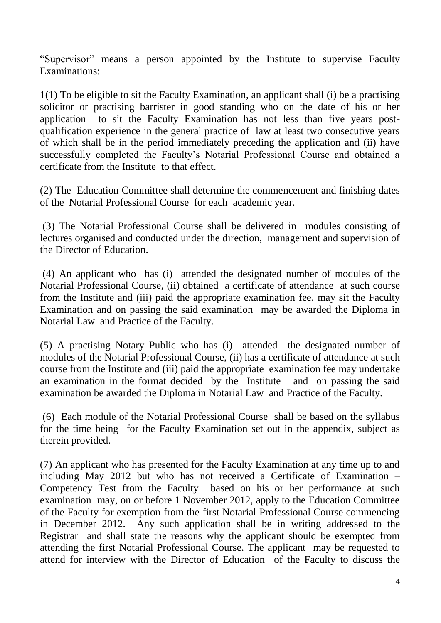"Supervisor" means a person appointed by the Institute to supervise Faculty Examinations:

1(1) To be eligible to sit the Faculty Examination, an applicant shall (i) be a practising solicitor or practising barrister in good standing who on the date of his or her application to sit the Faculty Examination has not less than five years postqualification experience in the general practice of law at least two consecutive years of which shall be in the period immediately preceding the application and (ii) have successfully completed the Faculty's Notarial Professional Course and obtained a certificate from the Institute to that effect.

(2) The Education Committee shall determine the commencement and finishing dates of the Notarial Professional Course for each academic year.

(3) The Notarial Professional Course shall be delivered in modules consisting of lectures organised and conducted under the direction, management and supervision of the Director of Education.

(4) An applicant who has (i) attended the designated number of modules of the Notarial Professional Course, (ii) obtained a certificate of attendance at such course from the Institute and (iii) paid the appropriate examination fee, may sit the Faculty Examination and on passing the said examination may be awarded the Diploma in Notarial Law and Practice of the Faculty.

(5) A practising Notary Public who has (i) attended the designated number of modules of the Notarial Professional Course, (ii) has a certificate of attendance at such course from the Institute and (iii) paid the appropriate examination fee may undertake an examination in the format decided by the Institute and on passing the said examination be awarded the Diploma in Notarial Law and Practice of the Faculty.

(6) Each module of the Notarial Professional Course shall be based on the syllabus for the time being for the Faculty Examination set out in the appendix, subject as therein provided.

(7) An applicant who has presented for the Faculty Examination at any time up to and including May 2012 but who has not received a Certificate of Examination – Competency Test from the Faculty based on his or her performance at such examination may, on or before 1 November 2012, apply to the Education Committee of the Faculty for exemption from the first Notarial Professional Course commencing in December 2012. Any such application shall be in writing addressed to the Registrar and shall state the reasons why the applicant should be exempted from attending the first Notarial Professional Course. The applicant may be requested to attend for interview with the Director of Education of the Faculty to discuss the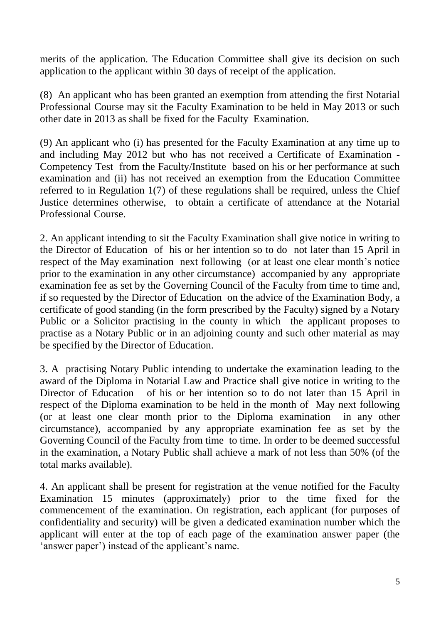merits of the application. The Education Committee shall give its decision on such application to the applicant within 30 days of receipt of the application.

(8) An applicant who has been granted an exemption from attending the first Notarial Professional Course may sit the Faculty Examination to be held in May 2013 or such other date in 2013 as shall be fixed for the Faculty Examination.

(9) An applicant who (i) has presented for the Faculty Examination at any time up to and including May 2012 but who has not received a Certificate of Examination - Competency Test from the Faculty/Institute based on his or her performance at such examination and (ii) has not received an exemption from the Education Committee referred to in Regulation 1(7) of these regulations shall be required, unless the Chief Justice determines otherwise, to obtain a certificate of attendance at the Notarial Professional Course.

2. An applicant intending to sit the Faculty Examination shall give notice in writing to the Director of Education of his or her intention so to do not later than 15 April in respect of the May examination next following (or at least one clear month's notice prior to the examination in any other circumstance) accompanied by any appropriate examination fee as set by the Governing Council of the Faculty from time to time and, if so requested by the Director of Education on the advice of the Examination Body, a certificate of good standing (in the form prescribed by the Faculty) signed by a Notary Public or a Solicitor practising in the county in which the applicant proposes to practise as a Notary Public or in an adjoining county and such other material as may be specified by the Director of Education.

3. A practising Notary Public intending to undertake the examination leading to the award of the Diploma in Notarial Law and Practice shall give notice in writing to the Director of Education of his or her intention so to do not later than 15 April in respect of the Diploma examination to be held in the month of May next following (or at least one clear month prior to the Diploma examination in any other circumstance), accompanied by any appropriate examination fee as set by the Governing Council of the Faculty from time to time. In order to be deemed successful in the examination, a Notary Public shall achieve a mark of not less than 50% (of the total marks available).

4. An applicant shall be present for registration at the venue notified for the Faculty Examination 15 minutes (approximately) prior to the time fixed for the commencement of the examination. On registration, each applicant (for purposes of confidentiality and security) will be given a dedicated examination number which the applicant will enter at the top of each page of the examination answer paper (the 'answer paper') instead of the applicant's name.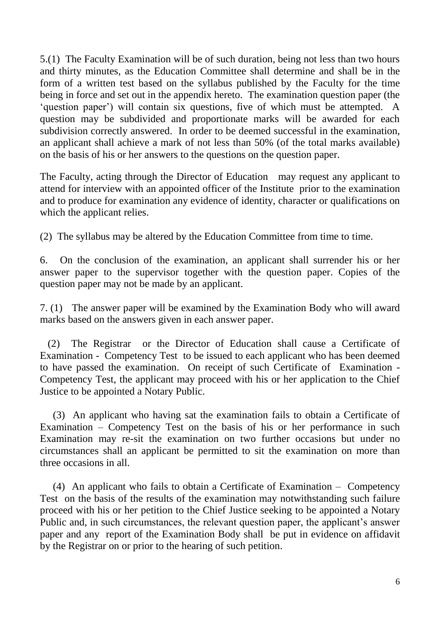5.(1) The Faculty Examination will be of such duration, being not less than two hours and thirty minutes, as the Education Committee shall determine and shall be in the form of a written test based on the syllabus published by the Faculty for the time being in force and set out in the appendix hereto. The examination question paper (the 'question paper') will contain six questions, five of which must be attempted. A question may be subdivided and proportionate marks will be awarded for each subdivision correctly answered. In order to be deemed successful in the examination, an applicant shall achieve a mark of not less than 50% (of the total marks available) on the basis of his or her answers to the questions on the question paper.

The Faculty, acting through the Director of Education may request any applicant to attend for interview with an appointed officer of the Institute prior to the examination and to produce for examination any evidence of identity, character or qualifications on which the applicant relies.

(2) The syllabus may be altered by the Education Committee from time to time.

6. On the conclusion of the examination, an applicant shall surrender his or her answer paper to the supervisor together with the question paper. Copies of the question paper may not be made by an applicant.

7. (1) The answer paper will be examined by the Examination Body who will award marks based on the answers given in each answer paper.

 (2) The Registrar or the Director of Education shall cause a Certificate of Examination - Competency Test to be issued to each applicant who has been deemed to have passed the examination. On receipt of such Certificate of Examination - Competency Test, the applicant may proceed with his or her application to the Chief Justice to be appointed a Notary Public.

 (3) An applicant who having sat the examination fails to obtain a Certificate of Examination – Competency Test on the basis of his or her performance in such Examination may re-sit the examination on two further occasions but under no circumstances shall an applicant be permitted to sit the examination on more than three occasions in all.

 (4) An applicant who fails to obtain a Certificate of Examination – Competency Test on the basis of the results of the examination may notwithstanding such failure proceed with his or her petition to the Chief Justice seeking to be appointed a Notary Public and, in such circumstances, the relevant question paper, the applicant's answer paper and any report of the Examination Body shall be put in evidence on affidavit by the Registrar on or prior to the hearing of such petition.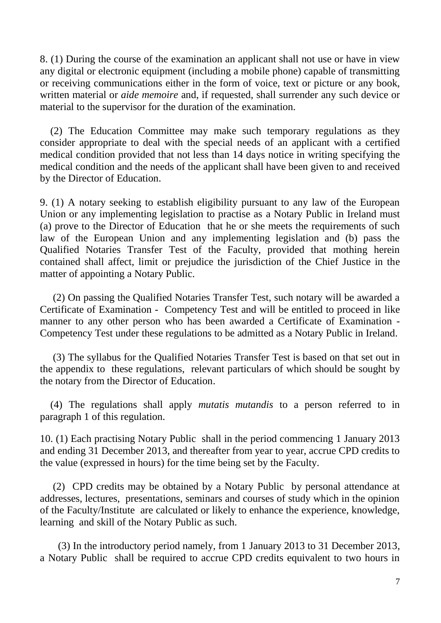8. (1) During the course of the examination an applicant shall not use or have in view any digital or electronic equipment (including a mobile phone) capable of transmitting or receiving communications either in the form of voice, text or picture or any book, written material or *aide memoire* and, if requested, shall surrender any such device or material to the supervisor for the duration of the examination.

 (2) The Education Committee may make such temporary regulations as they consider appropriate to deal with the special needs of an applicant with a certified medical condition provided that not less than 14 days notice in writing specifying the medical condition and the needs of the applicant shall have been given to and received by the Director of Education.

9. (1) A notary seeking to establish eligibility pursuant to any law of the European Union or any implementing legislation to practise as a Notary Public in Ireland must (a) prove to the Director of Education that he or she meets the requirements of such law of the European Union and any implementing legislation and (b) pass the Qualified Notaries Transfer Test of the Faculty, provided that mothing herein contained shall affect, limit or prejudice the jurisdiction of the Chief Justice in the matter of appointing a Notary Public.

 (2) On passing the Qualified Notaries Transfer Test, such notary will be awarded a Certificate of Examination - Competency Test and will be entitled to proceed in like manner to any other person who has been awarded a Certificate of Examination - Competency Test under these regulations to be admitted as a Notary Public in Ireland.

 (3) The syllabus for the Qualified Notaries Transfer Test is based on that set out in the appendix to these regulations, relevant particulars of which should be sought by the notary from the Director of Education.

 (4) The regulations shall apply *mutatis mutandis* to a person referred to in paragraph 1 of this regulation.

10. (1) Each practising Notary Public shall in the period commencing 1 January 2013 and ending 31 December 2013, and thereafter from year to year, accrue CPD credits to the value (expressed in hours) for the time being set by the Faculty.

 (2) CPD credits may be obtained by a Notary Public by personal attendance at addresses, lectures, presentations, seminars and courses of study which in the opinion of the Faculty/Institute are calculated or likely to enhance the experience, knowledge, learning and skill of the Notary Public as such.

 (3) In the introductory period namely, from 1 January 2013 to 31 December 2013, a Notary Public shall be required to accrue CPD credits equivalent to two hours in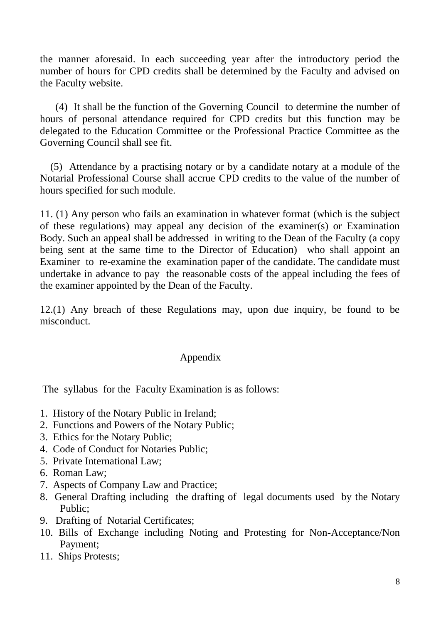the manner aforesaid. In each succeeding year after the introductory period the number of hours for CPD credits shall be determined by the Faculty and advised on the Faculty website.

 (4) It shall be the function of the Governing Council to determine the number of hours of personal attendance required for CPD credits but this function may be delegated to the Education Committee or the Professional Practice Committee as the Governing Council shall see fit.

 (5) Attendance by a practising notary or by a candidate notary at a module of the Notarial Professional Course shall accrue CPD credits to the value of the number of hours specified for such module.

11. (1) Any person who fails an examination in whatever format (which is the subject of these regulations) may appeal any decision of the examiner(s) or Examination Body. Such an appeal shall be addressed in writing to the Dean of the Faculty (a copy being sent at the same time to the Director of Education) who shall appoint an Examiner to re-examine the examination paper of the candidate. The candidate must undertake in advance to pay the reasonable costs of the appeal including the fees of the examiner appointed by the Dean of the Faculty.

12.(1) Any breach of these Regulations may, upon due inquiry, be found to be misconduct.

## Appendix

The syllabus for the Faculty Examination is as follows:

- 1. History of the Notary Public in Ireland;
- 2. Functions and Powers of the Notary Public;
- 3. Ethics for the Notary Public;
- 4. Code of Conduct for Notaries Public;
- 5. Private International Law;
- 6. Roman Law;
- 7. Aspects of Company Law and Practice;
- 8. General Drafting including the drafting of legal documents used by the Notary Public;
- 9. Drafting of Notarial Certificates;
- 10. Bills of Exchange including Noting and Protesting for Non-Acceptance/Non Payment;
- 11. Ships Protests;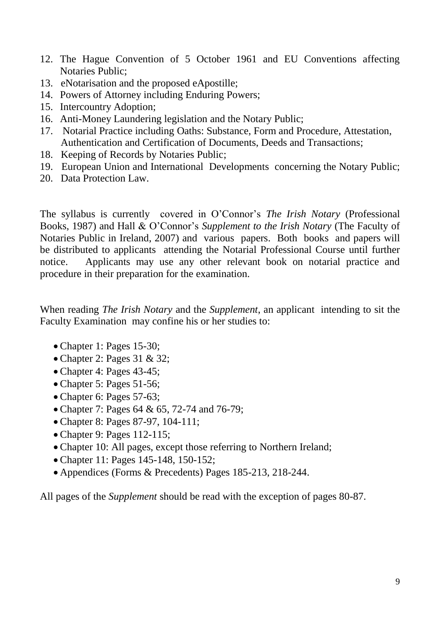- 12. The Hague Convention of 5 October 1961 and EU Conventions affecting Notaries Public;
- 13. eNotarisation and the proposed eApostille;
- 14. Powers of Attorney including Enduring Powers;
- 15. Intercountry Adoption;
- 16. Anti-Money Laundering legislation and the Notary Public;
- 17. Notarial Practice including Oaths: Substance, Form and Procedure, Attestation, Authentication and Certification of Documents, Deeds and Transactions;
- 18. Keeping of Records by Notaries Public;
- 19. European Union and International Developments concerning the Notary Public;
- 20. Data Protection Law.

The syllabus is currently covered in O'Connor's *The Irish Notary* (Professional Books, 1987) and Hall & O'Connor's *Supplement to the Irish Notary* (The Faculty of Notaries Public in Ireland, 2007) and various papers. Both books and papers will be distributed to applicants attending the Notarial Professional Course until further notice. Applicants may use any other relevant book on notarial practice and procedure in their preparation for the examination.

When reading *The Irish Notary* and the *Supplement*, an applicant intending to sit the Faculty Examination may confine his or her studies to:

- Chapter 1: Pages 15-30;
- Chapter 2: Pages 31 & 32;
- Chapter 4: Pages 43-45;
- Chapter 5: Pages 51-56;
- Chapter 6: Pages 57-63;
- Chapter 7: Pages 64 & 65, 72-74 and 76-79;
- Chapter 8: Pages 87-97, 104-111;
- Chapter 9: Pages 112-115:
- Chapter 10: All pages, except those referring to Northern Ireland;
- Chapter 11: Pages 145-148, 150-152;
- Appendices (Forms & Precedents) Pages 185-213, 218-244.

All pages of the *Supplement* should be read with the exception of pages 80-87.